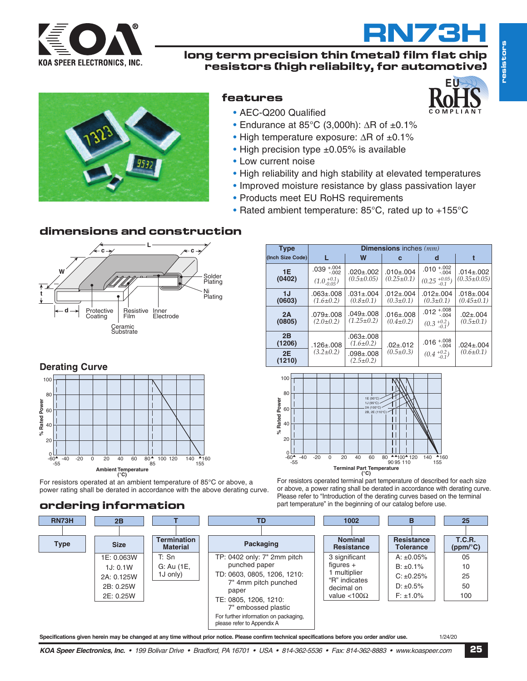

### **long term precision thin (metal) film flat chip resistors (high reliabilty, for automotive)**



## **features**

**EU**

**RN73H**



- AEC-Q200 Qualified
- Endurance at 85°C (3,000h): ∆R of ±0.1%
- High temperature exposure: ∆R of ±0.1%
- High precision type ±0.05% is available
- Low current noise
- High reliability and high stability at elevated temperatures
- Improved moisture resistance by glass passivation layer
- Products meet EU RoHS requirements
- Rated ambient temperature: 85°C, rated up to +155°C

### **dimensions and construction**



| <b>Type</b>      | <b>Dimensions</b> inches $(mm)$                      |                                     |                                    |                                               |                                      |  |  |
|------------------|------------------------------------------------------|-------------------------------------|------------------------------------|-----------------------------------------------|--------------------------------------|--|--|
| (Inch Size Code) |                                                      | W                                   | C                                  | d                                             | t                                    |  |  |
| 1E<br>(0402)     | $+.004$<br>.039<br>$-.002$<br>$(1.0^{+0.1}_{-0.05})$ | $.020 \pm .002$<br>$(0.5 \pm 0.05)$ | .0101.004<br>$(0.25 \pm 0.1)$      | $+.002$<br>.010<br>$-.004$<br>$(0.25 + 0.05)$ | $.014 \pm .002$<br>$(0.35 \pm 0.05)$ |  |  |
| 1J<br>(0603)     | $.063 \pm .008$<br>$(1.6 \pm 0.2)$                   | $.031 \pm .004$<br>$(0.8 \pm 0.1)$  | $.012 \pm .004$<br>$(0.3 \pm 0.1)$ | $.012 \pm .004$<br>$(0.3 \pm 0.1)$            | $.018 \pm .004$<br>$(0.45 \pm 0.1)$  |  |  |
| 2A<br>(0805)     | $.079 + .008$<br>$(2.0 \pm 0.2)$                     | $.049 + .008$<br>$(1.25 \pm 0.2)$   | $.016 + .008$<br>$(0.4 \pm 0.2)$   | .012 $^{+.008}_{-.004}$<br>$(0.3 + 0.2)$      | $.02 \pm .004$<br>$(0.5 \pm 0.1)$    |  |  |
| 2B<br>(1206)     | .126±.008                                            | $.063 \pm .008$<br>$(1.6 \pm 0.2)$  | $.02 \pm .012$                     | .016 $^{+.008}_{-.004}$                       | $.024 \pm .004$                      |  |  |
| 2E<br>(1210)     | $(3.2 \pm 0.2)$                                      | $.098 \pm .008$<br>$(2.5 \pm 0.2)$  | $(0.5 \pm 0.3)$                    | $(0.4+0.2-0.1)$                               | $(0.6 \pm 0.1)$                      |  |  |



**Derating Curve % Rated Power** 100 80  $60$ 40 20 -60 -40 -20 0 40 60 <sup>80</sup> <sup>100</sup> <sup>140</sup> <sup>85</sup> <sup>20</sup> **Ambient Temperature (°C)**  $_{60}^{0}$ -55 <sup>120</sup> 155160

For resistors operated at an ambient temperature of 85°C or above, a power rating shall be derated in accordance with the above derating curve.

## **ordering information**

For resistors operated terminal part temperature of described for each size or above, a power rating shall be derated in accordance with derating curve. Please refer to "Introduction of the derating curves based on the terminal part temperature" in the beginning of our catalog before use.



Specifications given herein may be changed at any time without prior notice. Please confirm technical specifications before you order and/or use. 1/24/20

KOA Speer Electronics, Inc. • 199 Bolivar Drive • Bradford, PA 16701 • USA • 814-362-5536 • Fax: 814-362-8883 • www.koaspeer.com 25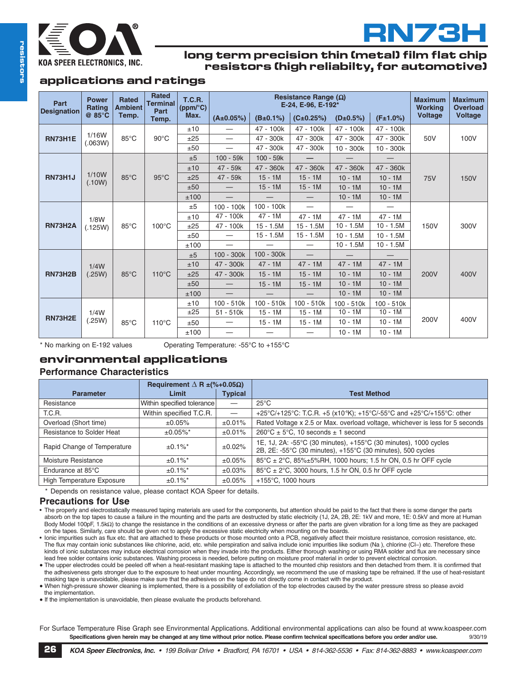



#### **long term precision thin (metal) film flat chip resistors (high reliabilty, for automotive)**

#### **applications and ratings**

| Part<br><b>Designation</b>       | <b>Power</b><br>Rating | <b>Rated</b><br><b>Ambient</b> | <b>Rated</b><br><b>Terminal</b><br>Part | Resistance Range $(\Omega)$<br><b>T.C.R.</b><br>E-24, E-96, E-192*<br>(ppm/°C) |                          |              |                          |                | <b>Maximum</b><br><b>Working</b> | <b>Maximum</b><br><b>Overload</b> |                |
|----------------------------------|------------------------|--------------------------------|-----------------------------------------|--------------------------------------------------------------------------------|--------------------------|--------------|--------------------------|----------------|----------------------------------|-----------------------------------|----------------|
|                                  | $@85^{\circ}C$         | Temp.                          | Temp.                                   | Max.                                                                           | $(A \pm 0.05%)$          | (B±0.1%)     | (C±0.25%)                | $(D \pm 0.5%)$ | (F±1.0%)                         | <b>Voltage</b>                    | <b>Voltage</b> |
| 1/16W<br>RN73H1E<br>(.063W)      |                        | 85°C                           | $90^{\circ}$ C                          | ±10                                                                            |                          | 47 - 100k    | 47 - 100k                | 47 - 100k      | 47 - 100k                        | 50V                               | 100V           |
|                                  |                        |                                |                                         | ±25                                                                            |                          | 47 - 300k    | 47 - 300k                | 47 - 300k      | 47 - 300k                        |                                   |                |
|                                  |                        |                                |                                         | ±50                                                                            |                          | 47 - 300k    | 47 - 300k                | $10 - 300k$    | $10 - 300k$                      |                                   |                |
|                                  |                        | $85^{\circ}$ C                 | $95^{\circ}$ C                          | ±5                                                                             | $100 - 59k$              | $100 - 59k$  |                          |                |                                  | <b>75V</b>                        | <b>150V</b>    |
|                                  |                        |                                |                                         | ±10                                                                            | 47 - 59k                 | 47 - 360k    | 47 - 360k                | 47 - 360k      | 47 - 360k                        |                                   |                |
| 1/10W<br><b>RN73H1J</b>          | (.10W)                 |                                |                                         | ±25                                                                            | 47 - 59k                 | $15 - 1M$    | $15 - 1M$                | $10 - 1M$      | $10 - 1M$                        |                                   |                |
|                                  |                        |                                |                                         | ±50                                                                            | $\overline{\phantom{0}}$ | $15 - 1M$    | $15 - 1M$                | $10 - 1M$      | $10 - 1M$                        |                                   |                |
|                                  |                        |                                |                                         | ±100                                                                           |                          |              |                          | $10 - 1M$      | $10 - 1M$                        |                                   |                |
|                                  |                        | $85^{\circ}$ C                 | $100^{\circ}$ C                         | ±5                                                                             | 100 - 100k               | 100 - 100k   | —                        |                |                                  | 150V                              | 300V           |
|                                  | 1/8W                   |                                |                                         | ±10                                                                            | 47 - 100k                | $47 - 1M$    | $47 - 1M$                | $47 - 1M$      | $47 - 1M$                        |                                   |                |
| <b>RN73H2A</b>                   | (.125W)                |                                |                                         | ±25                                                                            | 47 - 100k                | $15 - 1.5M$  | $15 - 1.5M$              | $10 - 1.5M$    | $10 - 1.5M$                      |                                   |                |
|                                  |                        |                                |                                         | ±50                                                                            |                          | $15 - 1.5M$  | $15 - 1.5M$              | $10 - 1.5M$    | $10 - 1.5M$                      |                                   |                |
|                                  |                        |                                |                                         | ±100                                                                           | $\overline{\phantom{0}}$ |              | $\overline{\phantom{0}}$ | $10 - 1.5M$    | $10 - 1.5M$                      |                                   |                |
| 1/4W<br><b>RN73H2B</b><br>(.25W) |                        | $85^{\circ}$ C                 | $110^{\circ}$ C                         | ±5                                                                             | 100 - 300k               | $100 - 300k$ | $\frac{1}{2}$            |                |                                  | 200V                              | 400V           |
|                                  |                        |                                |                                         | ±10                                                                            | 47 - 300k                | $47 - 1M$    | $47 - 1M$                | $47 - 1M$      | $47 - 1M$                        |                                   |                |
|                                  |                        |                                |                                         | ±25                                                                            | 47 - 300k                | $15 - 1M$    | $15 - 1M$                | $10 - 1M$      | $10 - 1M$                        |                                   |                |
|                                  |                        |                                |                                         | ±50                                                                            |                          | $15 - 1M$    | $15 - 1M$                | $10 - 1M$      | $10 - 1M$                        |                                   |                |
|                                  |                        |                                | ±100                                    |                                                                                |                          |              | $10 - 1M$                | $10 - 1M$      |                                  |                                   |                |
| <b>RN73H2E</b>                   | 1/4W                   | $85^{\circ}$ C                 | $110^{\circ}$ C                         | ±10                                                                            | 100 - 510k               | $100 - 510k$ | $100 - 510k$             | $100 - 510k$   | $100 - 510k$                     | 200V                              |                |
|                                  |                        |                                |                                         | ±25                                                                            | $51 - 510k$              | $15 - 1M$    | $15 - 1M$                | $10 - 1M$      | $10 - 1M$                        |                                   | 400V           |
|                                  | (.25W)                 |                                |                                         | ±50                                                                            |                          | $15 - 1M$    | $15 - 1M$                | $10 - 1M$      | $10 - 1M$                        |                                   |                |
|                                  |                        |                                |                                         | ±100                                                                           |                          |              |                          | $10 - 1M$      | $10 - 1M$                        |                                   |                |

\* No marking on E-192 values Operating Temperature: -55°C to +155°C

## **environmental applications**

#### **Performance Characteristics**

|                                  | Requirement $\Delta$ R $\pm$ (%+0.05 $\Omega$ ) |                                 |                                                                                                                                 |
|----------------------------------|-------------------------------------------------|---------------------------------|---------------------------------------------------------------------------------------------------------------------------------|
| <b>Parameter</b>                 | Limit                                           | <b>Typical</b>                  | <b>Test Method</b>                                                                                                              |
| Resistance                       | Within specified tolerance                      |                                 | $25^{\circ}$ C                                                                                                                  |
| T.C.R.                           | Within specified T.C.R.                         | $\hspace{0.1mm}-\hspace{0.1mm}$ | +25°C/+125°C: T.C.R. +5 (x10°K); +15°C/-55°C and +25°C/+155°C: other                                                            |
| Overload (Short time)            | ±0.05%                                          | ±0.01%                          | Rated Voltage x 2.5 or Max. overload voltage, whichever is less for 5 seconds                                                   |
| Resistance to Solder Heat        | $±0.05\%$ <sup>*</sup>                          | ±0.01%                          | $260^{\circ}$ C ± 5°C, 10 seconds ± 1 second                                                                                    |
| Rapid Change of Temperature      | $\pm 0.1\%$ <sup>*</sup>                        | ±0.02%                          | 1E, 1J, 2A: -55°C (30 minutes), +155°C (30 minutes), 1000 cycles<br>2B, 2E: -55°C (30 minutes), +155°C (30 minutes), 500 cycles |
| Moisture Resistance              | $\pm 0.1\%$ <sup>*</sup>                        | ±0.05%                          | 85°C ± 2°C, 85%±5%RH, 1000 hours; 1.5 hr ON, 0.5 hr OFF cycle                                                                   |
| Endurance at 85°C                | $\pm 0.1\%$ <sup>*</sup>                        | ±0.03%                          | $85^{\circ}$ C ± 2 $^{\circ}$ C, 3000 hours, 1.5 hr ON, 0.5 hr OFF cycle                                                        |
| <b>High Temperature Exposure</b> | $±0.1\%$ <sup>*</sup>                           | ±0.05%                          | $+155^{\circ}$ C, 1000 hours                                                                                                    |

\* Depends on resistance value, please contact KOA Speer for details.

#### **Precautions for Use**

- The properly and electrostatically measured taping materials are used for the components, but attention should be paid to the fact that there is some danger the parts absorb on the top tapes to cause a failure in the mounting and the parts are destructed by static electricity (1J, 2A, 2B, 2E: 1kV and more, 1E: 0.5kV and more at Human Body Model 100pF, 1.5kΩ) to change the resistance in the conditions of an excessive dryness or after the parts are given vibration for a long time as they are packaged on the tapes. Similarly, care should be given not to apply the excessive static electricity when mounting on the boards.
- Ionic impurities such as flux etc. that are attached to these products or those mounted onto a PCB, negatively affect their moisture resistance, corrosion resistance, etc. The flux may contain ionic substances like chlorine, acid, etc. while perspiration and saliva include ionic impurities like sodium (Na ), chlorine (Cl−) etc. Therefore these kinds of ionic substances may induce electrical corrosion when they invade into the products. Either thorough washing or using RMA solder and flux are necessary since lead free solder contains ionic substances. Washing process is needed, before putting on moisture proof material in order to prevent electrical corrosion.
- The upper electrodes could be peeled off when a heat-resistant masking tape is attached to the mounted chip resistors and then detached from them. It is confirmed that the adhesiveness gets stronger due to the exposure to heat under mounting. Accordingly, we recommend the use of masking tape be refrained. If the use of heat-resistant masking tape is unavoidable, please make sure that the adhesives on the tape do not directly come in contact with the product.
- When high-pressure shower cleaning is implemented, there is a possibility of exfoliation of the top electrodes caused by the water pressure stress so please avoid the implementation.

● If the implementation is unavoidable, then please evaluate the products beforehand.

For Surface Temperature Rise Graph see Environmental Applications. Additional environmental applications can also be found at www.koaspeer.com Specifications given herein may be changed at any time without prior notice. Please confirm technical specifications before you order and/or use. 9/30/19